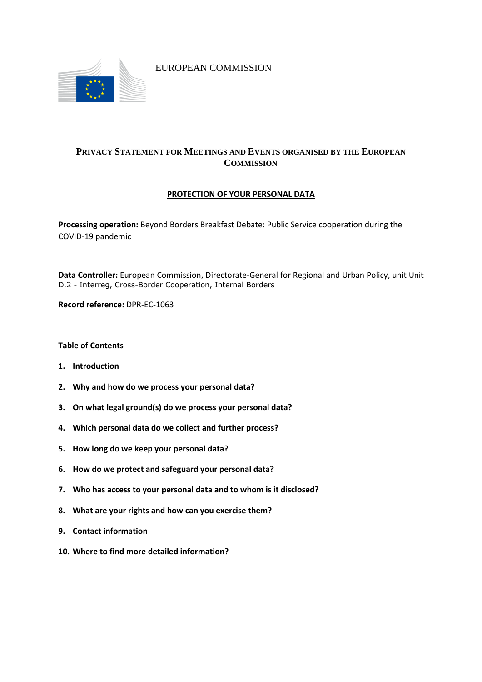

EUROPEAN COMMISSION

# **PRIVACY STATEMENT FOR MEETINGS AND EVENTS ORGANISED BY THE EUROPEAN COMMISSION**

# **PROTECTION OF YOUR PERSONAL DATA**

**Processing operation:** Beyond Borders Breakfast Debate: Public Service cooperation during the COVID-19 pandemic

**Data Controller:** European Commission, Directorate-General for Regional and Urban Policy, unit Unit D.2 - Interreg, Cross-Border Cooperation, Internal Borders

**Record reference:** DPR-EC-1063

**Table of Contents**

- **1. Introduction**
- **2. Why and how do we process your personal data?**
- **3. On what legal ground(s) do we process your personal data?**
- **4. Which personal data do we collect and further process?**
- **5. How long do we keep your personal data?**
- **6. How do we protect and safeguard your personal data?**
- **7. Who has access to your personal data and to whom is it disclosed?**
- **8. What are your rights and how can you exercise them?**
- **9. Contact information**
- **10. Where to find more detailed information?**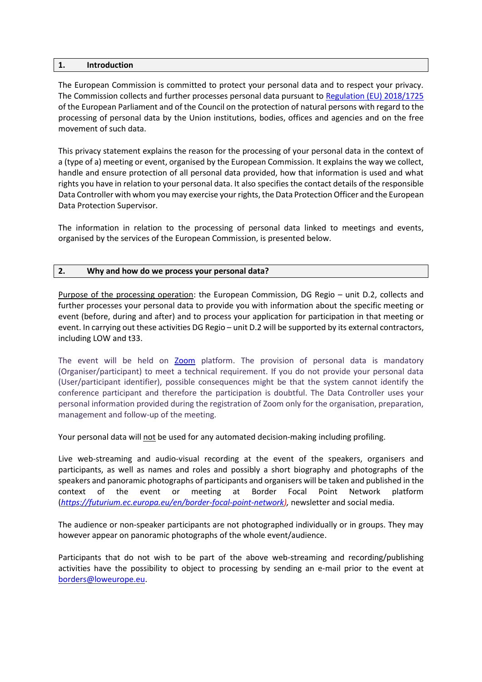#### **1. Introduction**

The European Commission is committed to protect your personal data and to respect your privacy. The Commission collects and further processes personal data pursuant to [Regulation \(EU\) 2018/1725](https://eur-lex.europa.eu/legal-content/EN/TXT/?uri=uriserv:OJ.L_.2018.295.01.0039.01.ENG&toc=OJ:L:2018:295:TOC) of the European Parliament and of the Council on the protection of natural persons with regard to the processing of personal data by the Union institutions, bodies, offices and agencies and on the free movement of such data.

This privacy statement explains the reason for the processing of your personal data in the context of a (type of a) meeting or event, organised by the European Commission. It explains the way we collect, handle and ensure protection of all personal data provided, how that information is used and what rights you have in relation to your personal data. It also specifies the contact details of the responsible Data Controller with whom you may exercise your rights, the Data Protection Officer and the European Data Protection Supervisor.

The information in relation to the processing of personal data linked to meetings and events, organised by the services of the European Commission, is presented below.

### **2. Why and how do we process your personal data?**

Purpose of the processing operation: the European Commission, DG Regio – unit D.2, collects and further processes your personal data to provide you with information about the specific meeting or event (before, during and after) and to process your application for participation in that meeting or event. In carrying out these activities DG Regio – unit D.2 will be supported by its external contractors, including LOW and t33.

The event will be held on [Zoom](https://zoom.us/) platform. The provision of personal data is mandatory (Organiser/participant) to meet a technical requirement. If you do not provide your personal data (User/participant identifier), possible consequences might be that the system cannot identify the conference participant and therefore the participation is doubtful. The Data Controller uses your personal information provided during the registration of Zoom only for the organisation, preparation, management and follow-up of the meeting.

Your personal data will not be used for any automated decision-making including profiling.

Live web-streaming and audio-visual recording at the event of the speakers, organisers and participants, as well as names and roles and possibly a short biography and photographs of the speakers and panoramic photographs of participants and organisers will be taken and published in the context of the event or meeting at Border Focal Point Network platform (*[https://futurium.ec.europa.eu/en/border-focal-point-network\)](https://futurium.ec.europa.eu/en/border-focal-point-network),* newsletter and social media.

The audience or non-speaker participants are not photographed individually or in groups. They may however appear on panoramic photographs of the whole event/audience.

Participants that do not wish to be part of the above web-streaming and recording/publishing activities have the possibility to object to processing by sending an e-mail prior to the event at [borders@loweurope.eu.](mailto:borders@loweurope.eu)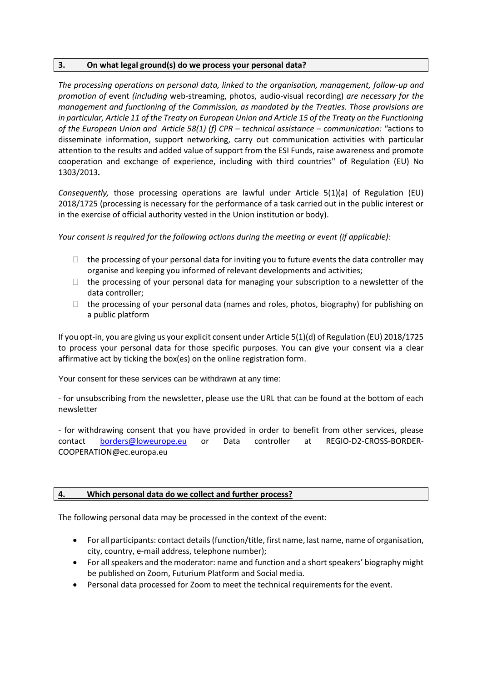## **3. On what legal ground(s) do we process your personal data?**

*The processing operations on personal data, linked to the organisation, management, follow-up and promotion of* event *(including* web-streaming, photos, audio-visual recording) *are necessary for the management and functioning of the Commission, as mandated by the Treaties. Those provisions are in particular, Article 11 of the Treaty on European Union and Article 15 of the Treaty on the Functioning of the European Union and Article 58(1) (f) CPR – technical assistance – communication: "*actions to disseminate information, support networking, carry out communication activities with particular attention to the results and added value of support from the ESI Funds, raise awareness and promote cooperation and exchange of experience, including with third countries" of Regulation (EU) No 1303/2013*.*

*Consequently,* those processing operations are lawful under Article 5(1)(a) of Regulation (EU) 2018/1725 (processing is necessary for the performance of a task carried out in the public interest or in the exercise of official authority vested in the Union institution or body).

*Your consent is required for the following actions during the meeting or event (if applicable):*

- $\Box$  the processing of your personal data for inviting you to future events the data controller may organise and keeping you informed of relevant developments and activities;
- $\Box$  the processing of your personal data for managing your subscription to a newsletter of the data controller;
- $\Box$  the processing of your personal data (names and roles, photos, biography) for publishing on a public platform

If you opt-in, you are giving us your explicit consent under Article 5(1)(d) of Regulation (EU) 2018/1725 to process your personal data for those specific purposes. You can give your consent via a clear affirmative act by ticking the box(es) on the online registration form.

Your consent for these services can be withdrawn at any time:

- for unsubscribing from the newsletter, please use the URL that can be found at the bottom of each newsletter

- for withdrawing consent that you have provided in order to benefit from other services, please contact [borders@loweurope.eu](mailto:borders@loweurope.eu) or Data controller at REGIO-D2-CROSS-BORDER-COOPERATION@ec.europa.eu

## **4. Which personal data do we collect and further process?**

The following personal data may be processed in the context of the event:

- For all participants: contact details (function/title, first name, last name, name of organisation, city, country, e-mail address, telephone number);
- For all speakers and the moderator: name and function and a short speakers' biography might be published on Zoom, Futurium Platform and Social media.
- Personal data processed for Zoom to meet the technical requirements for the event.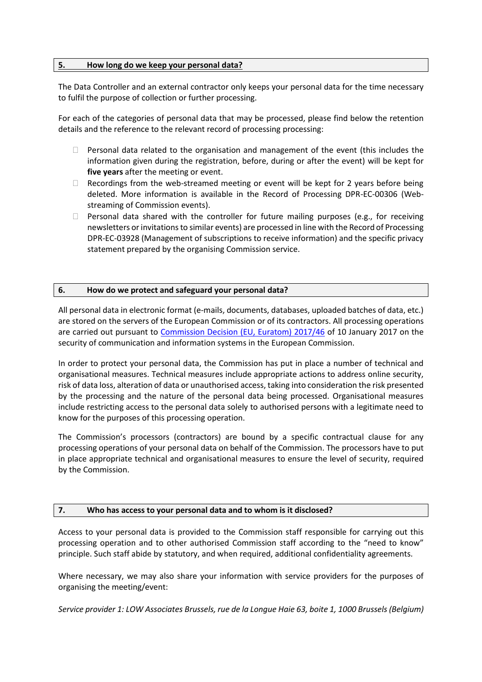### **5. How long do we keep your personal data?**

The Data Controller and an external contractor only keeps your personal data for the time necessary to fulfil the purpose of collection or further processing.

For each of the categories of personal data that may be processed, please find below the retention details and the reference to the relevant record of processing processing:

- $\Box$  Personal data related to the organisation and management of the event (this includes the information given during the registration, before, during or after the event) will be kept for **five years** after the meeting or event.
- $\Box$  Recordings from the web-streamed meeting or event will be kept for 2 years before being deleted. More information is available in the Record of Processing DPR-EC-00306 (Webstreaming of Commission events).
- $\Box$  Personal data shared with the controller for future mailing purposes (e.g., for receiving newsletters or invitations to similar events) are processed in line with the Record of Processing DPR-EC-03928 (Management of subscriptions to receive information) and the specific privacy statement prepared by the organising Commission service.

### **6. How do we protect and safeguard your personal data?**

All personal data in electronic format (e-mails, documents, databases, uploaded batches of data, etc.) are stored on the servers of the European Commission or of its contractors. All processing operations are carried out pursuant to [Commission Decision \(EU, Euratom\) 2017/46](https://eur-lex.europa.eu/legal-content/EN/TXT/?qid=1548093747090&uri=CELEX:32017D0046) of 10 January 2017 on the security of communication and information systems in the European Commission.

In order to protect your personal data, the Commission has put in place a number of technical and organisational measures. Technical measures include appropriate actions to address online security, risk of data loss, alteration of data or unauthorised access, taking into consideration the risk presented by the processing and the nature of the personal data being processed. Organisational measures include restricting access to the personal data solely to authorised persons with a legitimate need to know for the purposes of this processing operation.

The Commission's processors (contractors) are bound by a specific contractual clause for any processing operations of your personal data on behalf of the Commission. The processors have to put in place appropriate technical and organisational measures to ensure the level of security, required by the Commission.

## **7. Who has access to your personal data and to whom is it disclosed?**

Access to your personal data is provided to the Commission staff responsible for carrying out this processing operation and to other authorised Commission staff according to the "need to know" principle. Such staff abide by statutory, and when required, additional confidentiality agreements.

Where necessary, we may also share your information with service providers for the purposes of organising the meeting/event:

*Service provider 1: LOW Associates Brussels, rue de la Longue Haie 63, boite 1, 1000 Brussels (Belgium)*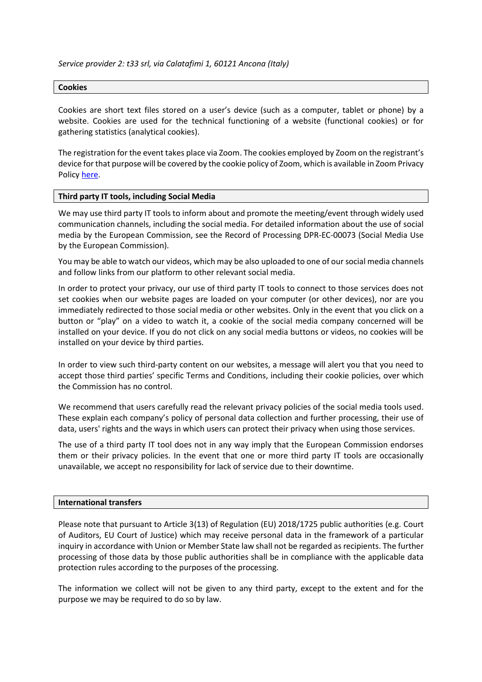### *Service provider 2: t33 srl, via Calatafimi 1, 60121 Ancona (Italy)*

#### **Cookies**

Cookies are short text files stored on a user's device (such as a computer, tablet or phone) by a website. Cookies are used for the technical functioning of a website (functional cookies) or for gathering statistics (analytical cookies).

The registration for the event takes place via Zoom. The cookies employed by Zoom on the registrant's device for that purpose will be covered by the cookie policy of Zoom, which is available in Zoom Privacy Polic[y here.](https://zoom.us/privacy)

#### **Third party IT tools, including Social Media**

We may use third party IT tools to inform about and promote the meeting/event through widely used communication channels, including the social media. For detailed information about the use of social media by the European Commission, see the Record of Processing DPR-EC-00073 (Social Media Use by the European Commission).

You may be able to watch our videos, which may be also uploaded to one of our social media channels and follow links from our platform to other relevant social media.

In order to protect your privacy, our use of third party IT tools to connect to those services does not set cookies when our website pages are loaded on your computer (or other devices), nor are you immediately redirected to those social media or other websites. Only in the event that you click on a button or "play" on a video to watch it, a cookie of the social media company concerned will be installed on your device. If you do not click on any social media buttons or videos, no cookies will be installed on your device by third parties.

In order to view such third-party content on our websites, a message will alert you that you need to accept those third parties' specific Terms and Conditions, including their cookie policies, over which the Commission has no control.

We recommend that users carefully read the relevant privacy policies of the social media tools used. These explain each company's policy of personal data collection and further processing, their use of data, users' rights and the ways in which users can protect their privacy when using those services.

The use of a third party IT tool does not in any way imply that the European Commission endorses them or their privacy policies. In the event that one or more third party IT tools are occasionally unavailable, we accept no responsibility for lack of service due to their downtime.

#### **International transfers**

Please note that pursuant to Article 3(13) of Regulation (EU) 2018/1725 public authorities (e.g. Court of Auditors, EU Court of Justice) which may receive personal data in the framework of a particular inquiry in accordance with Union or Member State law shall not be regarded as recipients. The further processing of those data by those public authorities shall be in compliance with the applicable data protection rules according to the purposes of the processing.

The information we collect will not be given to any third party, except to the extent and for the purpose we may be required to do so by law.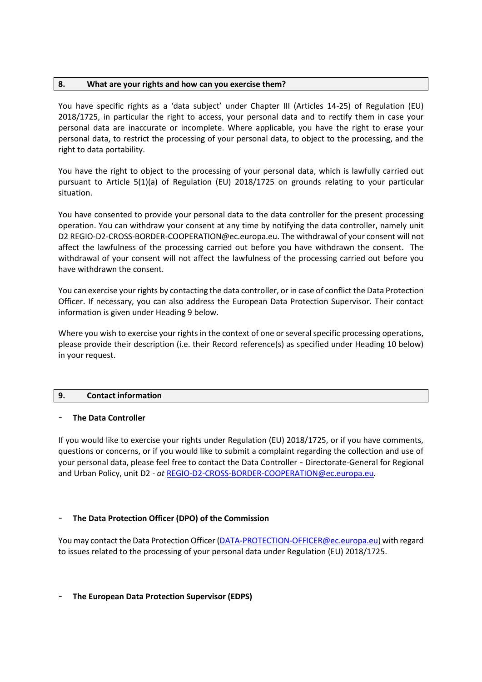## **8. What are your rights and how can you exercise them?**

You have specific rights as a 'data subject' under Chapter III (Articles 14-25) of Regulation (EU) 2018/1725, in particular the right to access, your personal data and to rectify them in case your personal data are inaccurate or incomplete. Where applicable, you have the right to erase your personal data, to restrict the processing of your personal data, to object to the processing, and the right to data portability.

You have the right to object to the processing of your personal data, which is lawfully carried out pursuant to Article 5(1)(a) of Regulation (EU) 2018/1725 on grounds relating to your particular situation.

You have consented to provide your personal data to the data controller for the present processing operation. You can withdraw your consent at any time by notifying the data controller, namely unit D2 REGIO-D2-CROSS-BORDER-COOPERATION@ec.europa.eu. The withdrawal of your consent will not affect the lawfulness of the processing carried out before you have withdrawn the consent. The withdrawal of your consent will not affect the lawfulness of the processing carried out before you have withdrawn the consent.

You can exercise your rights by contacting the data controller, or in case of conflict the Data Protection Officer. If necessary, you can also address the European Data Protection Supervisor. Their contact information is given under Heading 9 below.

Where you wish to exercise your rights in the context of one or several specific processing operations, please provide their description (i.e. their Record reference(s) as specified under Heading 10 below) in your request.

# **9. Contact information**

# - **The Data Controller**

If you would like to exercise your rights under Regulation (EU) 2018/1725, or if you have comments, questions or concerns, or if you would like to submit a complaint regarding the collection and use of your personal data, please feel free to contact the Data Controller - Directorate-General for Regional and Urban Policy, unit D2 - *at* [REGIO-D2-CROSS-BORDER-COOPERATION@ec.europa.eu](mailto:REGIO-D2-CROSS-BORDER-COOPERATION@ec.europa.eu)*.*

# - **The Data Protection Officer (DPO) of the Commission**

You may contact the Data Protection Officer [\(DATA-PROTECTION-OFFICER@ec.europa.eu\)](mailto:DATA-PROTECTION-OFFICER@ec.europa.eu) with regard to issues related to the processing of your personal data under Regulation (EU) 2018/1725.

## - **The European Data Protection Supervisor (EDPS)**